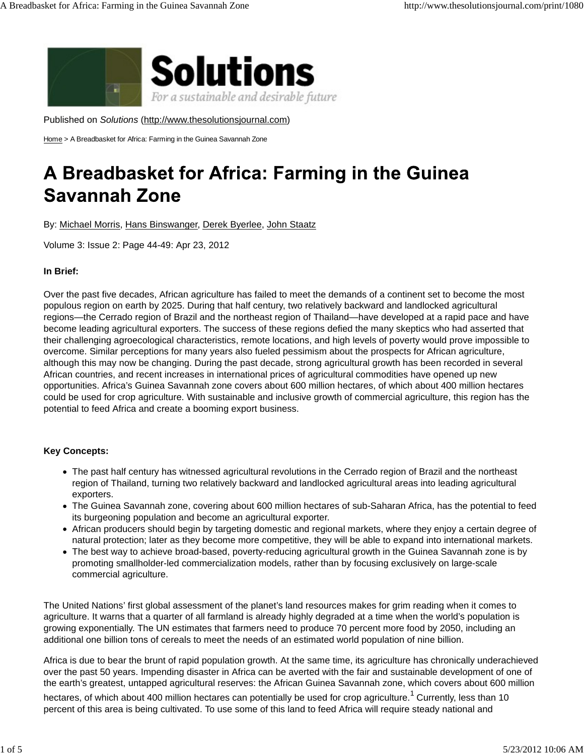

Published on *Solutions* (http://www.thesolutionsjournal.com)

Home > A Breadbasket for Africa: Farming in the Guinea Savannah Zone

# A Breadbasket for Africa: Farming in the Guinea **Savannah Zone**

By: Michael Morris, Hans Binswanger, Derek Byerlee, John Staatz

Volume 3: Issue 2: Page 44-49: Apr 23, 2012

# **In Brief:**

Over the past five decades, African agriculture has failed to meet the demands of a continent set to become the most populous region on earth by 2025. During that half century, two relatively backward and landlocked agricultural regions—the Cerrado region of Brazil and the northeast region of Thailand—have developed at a rapid pace and have become leading agricultural exporters. The success of these regions defied the many skeptics who had asserted that their challenging agroecological characteristics, remote locations, and high levels of poverty would prove impossible to overcome. Similar perceptions for many years also fueled pessimism about the prospects for African agriculture, although this may now be changing. During the past decade, strong agricultural growth has been recorded in several African countries, and recent increases in international prices of agricultural commodities have opened up new opportunities. Africa's Guinea Savannah zone covers about 600 million hectares, of which about 400 million hectares could be used for crop agriculture. With sustainable and inclusive growth of commercial agriculture, this region has the potential to feed Africa and create a booming export business.

# **Key Concepts:**

- The past half century has witnessed agricultural revolutions in the Cerrado region of Brazil and the northeast region of Thailand, turning two relatively backward and landlocked agricultural areas into leading agricultural exporters.
- The Guinea Savannah zone, covering about 600 million hectares of sub-Saharan Africa, has the potential to feed its burgeoning population and become an agricultural exporter.
- African producers should begin by targeting domestic and regional markets, where they enjoy a certain degree of natural protection; later as they become more competitive, they will be able to expand into international markets.
- The best way to achieve broad-based, poverty-reducing agricultural growth in the Guinea Savannah zone is by promoting smallholder-led commercialization models, rather than by focusing exclusively on large-scale commercial agriculture.

The United Nations' first global assessment of the planet's land resources makes for grim reading when it comes to agriculture. It warns that a quarter of all farmland is already highly degraded at a time when the world's population is growing exponentially. The UN estimates that farmers need to produce 70 percent more food by 2050, including an additional one billion tons of cereals to meet the needs of an estimated world population of nine billion.

Africa is due to bear the brunt of rapid population growth. At the same time, its agriculture has chronically underachieved over the past 50 years. Impending disaster in Africa can be averted with the fair and sustainable development of one of the earth's greatest, untapped agricultural reserves: the African Guinea Savannah zone, which covers about 600 million

hectares, of which about 400 million hectares can potentially be used for crop agriculture.<sup>1</sup> Currently, less than 10 percent of this area is being cultivated. To use some of this land to feed Africa will require steady national and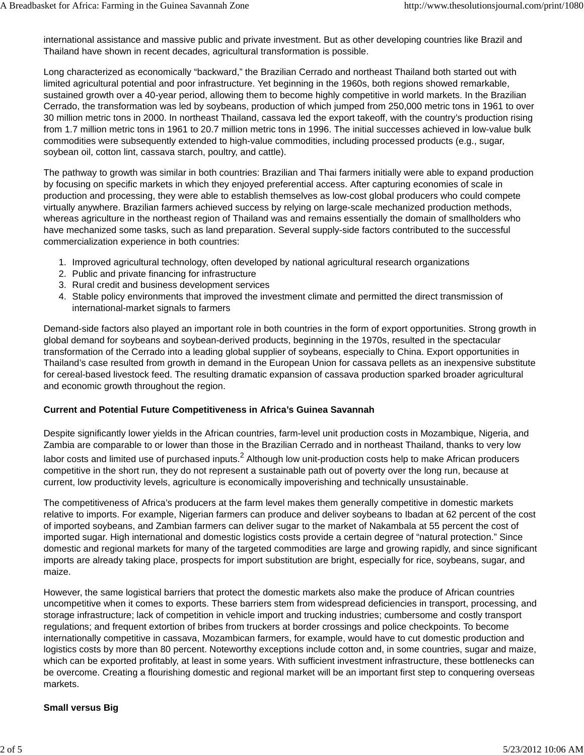international assistance and massive public and private investment. But as other developing countries like Brazil and Thailand have shown in recent decades, agricultural transformation is possible.

Long characterized as economically "backward," the Brazilian Cerrado and northeast Thailand both started out with limited agricultural potential and poor infrastructure. Yet beginning in the 1960s, both regions showed remarkable, sustained growth over a 40-year period, allowing them to become highly competitive in world markets. In the Brazilian Cerrado, the transformation was led by soybeans, production of which jumped from 250,000 metric tons in 1961 to over 30 million metric tons in 2000. In northeast Thailand, cassava led the export takeoff, with the country's production rising from 1.7 million metric tons in 1961 to 20.7 million metric tons in 1996. The initial successes achieved in low-value bulk commodities were subsequently extended to high-value commodities, including processed products (e.g., sugar, soybean oil, cotton lint, cassava starch, poultry, and cattle).

The pathway to growth was similar in both countries: Brazilian and Thai farmers initially were able to expand production by focusing on specific markets in which they enjoyed preferential access. After capturing economies of scale in production and processing, they were able to establish themselves as low-cost global producers who could compete virtually anywhere. Brazilian farmers achieved success by relying on large-scale mechanized production methods, whereas agriculture in the northeast region of Thailand was and remains essentially the domain of smallholders who have mechanized some tasks, such as land preparation. Several supply-side factors contributed to the successful commercialization experience in both countries:

- 1. Improved agricultural technology, often developed by national agricultural research organizations
- 2. Public and private financing for infrastructure
- 3. Rural credit and business development services
- 4. Stable policy environments that improved the investment climate and permitted the direct transmission of international-market signals to farmers

Demand-side factors also played an important role in both countries in the form of export opportunities. Strong growth in global demand for soybeans and soybean-derived products, beginning in the 1970s, resulted in the spectacular transformation of the Cerrado into a leading global supplier of soybeans, especially to China. Export opportunities in Thailand's case resulted from growth in demand in the European Union for cassava pellets as an inexpensive substitute for cereal-based livestock feed. The resulting dramatic expansion of cassava production sparked broader agricultural and economic growth throughout the region.

### **Current and Potential Future Competitiveness in Africa's Guinea Savannah**

Despite significantly lower yields in the African countries, farm-level unit production costs in Mozambique, Nigeria, and Zambia are comparable to or lower than those in the Brazilian Cerrado and in northeast Thailand, thanks to very low labor costs and limited use of purchased inputs.<sup>2</sup> Although low unit-production costs help to make African producers competitive in the short run, they do not represent a sustainable path out of poverty over the long run, because at current, low productivity levels, agriculture is economically impoverishing and technically unsustainable.

The competitiveness of Africa's producers at the farm level makes them generally competitive in domestic markets relative to imports. For example, Nigerian farmers can produce and deliver soybeans to Ibadan at 62 percent of the cost of imported soybeans, and Zambian farmers can deliver sugar to the market of Nakambala at 55 percent the cost of imported sugar. High international and domestic logistics costs provide a certain degree of "natural protection." Since domestic and regional markets for many of the targeted commodities are large and growing rapidly, and since significant imports are already taking place, prospects for import substitution are bright, especially for rice, soybeans, sugar, and maize.

However, the same logistical barriers that protect the domestic markets also make the produce of African countries uncompetitive when it comes to exports. These barriers stem from widespread deficiencies in transport, processing, and storage infrastructure; lack of competition in vehicle import and trucking industries; cumbersome and costly transport regulations; and frequent extortion of bribes from truckers at border crossings and police checkpoints. To become internationally competitive in cassava, Mozambican farmers, for example, would have to cut domestic production and logistics costs by more than 80 percent. Noteworthy exceptions include cotton and, in some countries, sugar and maize, which can be exported profitably, at least in some years. With sufficient investment infrastructure, these bottlenecks can be overcome. Creating a flourishing domestic and regional market will be an important first step to conquering overseas markets.

### **Small versus Big**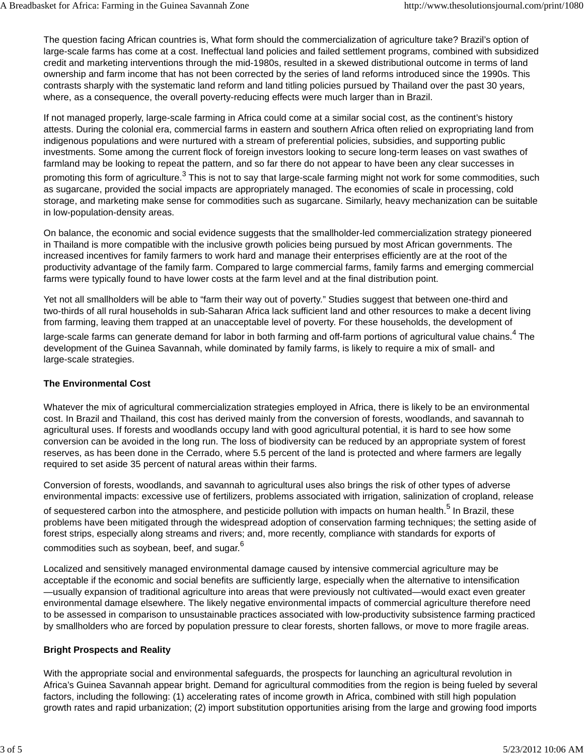The question facing African countries is, What form should the commercialization of agriculture take? Brazil's option of large-scale farms has come at a cost. Ineffectual land policies and failed settlement programs, combined with subsidized credit and marketing interventions through the mid-1980s, resulted in a skewed distributional outcome in terms of land ownership and farm income that has not been corrected by the series of land reforms introduced since the 1990s. This contrasts sharply with the systematic land reform and land titling policies pursued by Thailand over the past 30 years, where, as a consequence, the overall poverty-reducing effects were much larger than in Brazil.

If not managed properly, large-scale farming in Africa could come at a similar social cost, as the continent's history attests. During the colonial era, commercial farms in eastern and southern Africa often relied on expropriating land from indigenous populations and were nurtured with a stream of preferential policies, subsidies, and supporting public investments. Some among the current flock of foreign investors looking to secure long-term leases on vast swathes of farmland may be looking to repeat the pattern, and so far there do not appear to have been any clear successes in

promoting this form of agriculture.<sup>3</sup> This is not to say that large-scale farming might not work for some commodities, such as sugarcane, provided the social impacts are appropriately managed. The economies of scale in processing, cold storage, and marketing make sense for commodities such as sugarcane. Similarly, heavy mechanization can be suitable in low-population-density areas.

On balance, the economic and social evidence suggests that the smallholder-led commercialization strategy pioneered in Thailand is more compatible with the inclusive growth policies being pursued by most African governments. The increased incentives for family farmers to work hard and manage their enterprises efficiently are at the root of the productivity advantage of the family farm. Compared to large commercial farms, family farms and emerging commercial farms were typically found to have lower costs at the farm level and at the final distribution point.

Yet not all smallholders will be able to "farm their way out of poverty." Studies suggest that between one-third and two-thirds of all rural households in sub-Saharan Africa lack sufficient land and other resources to make a decent living from farming, leaving them trapped at an unacceptable level of poverty. For these households, the development of

large-scale farms can generate demand for labor in both farming and off-farm portions of agricultural value chains.<sup>4</sup> The development of the Guinea Savannah, while dominated by family farms, is likely to require a mix of small- and large-scale strategies.

# **The Environmental Cost**

Whatever the mix of agricultural commercialization strategies employed in Africa, there is likely to be an environmental cost. In Brazil and Thailand, this cost has derived mainly from the conversion of forests, woodlands, and savannah to agricultural uses. If forests and woodlands occupy land with good agricultural potential, it is hard to see how some conversion can be avoided in the long run. The loss of biodiversity can be reduced by an appropriate system of forest reserves, as has been done in the Cerrado, where 5.5 percent of the land is protected and where farmers are legally required to set aside 35 percent of natural areas within their farms.

Conversion of forests, woodlands, and savannah to agricultural uses also brings the risk of other types of adverse environmental impacts: excessive use of fertilizers, problems associated with irrigation, salinization of cropland, release of sequestered carbon into the atmosphere, and pesticide pollution with impacts on human health.<sup>5</sup> In Brazil, these problems have been mitigated through the widespread adoption of conservation farming techniques; the setting aside of forest strips, especially along streams and rivers; and, more recently, compliance with standards for exports of commodities such as soybean, beef, and sugar.<sup>6</sup>

Localized and sensitively managed environmental damage caused by intensive commercial agriculture may be acceptable if the economic and social benefits are sufficiently large, especially when the alternative to intensification —usually expansion of traditional agriculture into areas that were previously not cultivated—would exact even greater environmental damage elsewhere. The likely negative environmental impacts of commercial agriculture therefore need to be assessed in comparison to unsustainable practices associated with low-productivity subsistence farming practiced by smallholders who are forced by population pressure to clear forests, shorten fallows, or move to more fragile areas.

### **Bright Prospects and Reality**

With the appropriate social and environmental safeguards, the prospects for launching an agricultural revolution in Africa's Guinea Savannah appear bright. Demand for agricultural commodities from the region is being fueled by several factors, including the following: (1) accelerating rates of income growth in Africa, combined with still high population growth rates and rapid urbanization; (2) import substitution opportunities arising from the large and growing food imports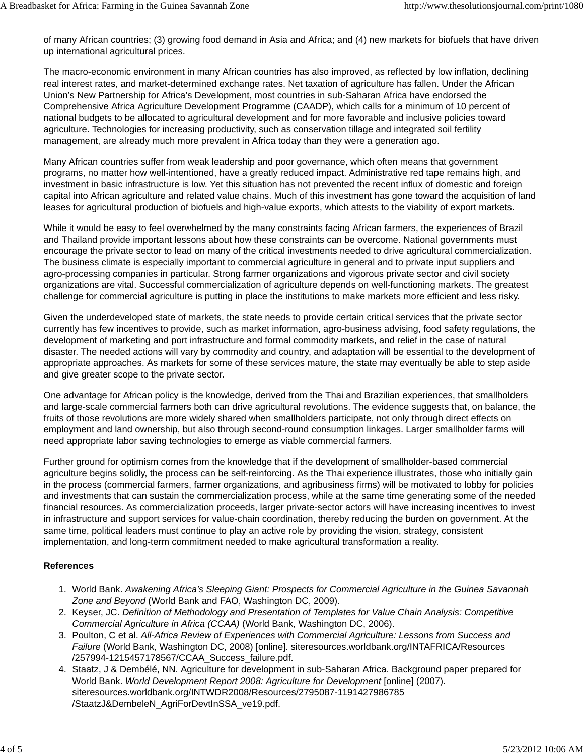of many African countries; (3) growing food demand in Asia and Africa; and (4) new markets for biofuels that have driven up international agricultural prices.

The macro-economic environment in many African countries has also improved, as reflected by low inflation, declining real interest rates, and market-determined exchange rates. Net taxation of agriculture has fallen. Under the African Union's New Partnership for Africa's Development, most countries in sub-Saharan Africa have endorsed the Comprehensive Africa Agriculture Development Programme (CAADP), which calls for a minimum of 10 percent of national budgets to be allocated to agricultural development and for more favorable and inclusive policies toward agriculture. Technologies for increasing productivity, such as conservation tillage and integrated soil fertility management, are already much more prevalent in Africa today than they were a generation ago.

Many African countries suffer from weak leadership and poor governance, which often means that government programs, no matter how well-intentioned, have a greatly reduced impact. Administrative red tape remains high, and investment in basic infrastructure is low. Yet this situation has not prevented the recent influx of domestic and foreign capital into African agriculture and related value chains. Much of this investment has gone toward the acquisition of land leases for agricultural production of biofuels and high-value exports, which attests to the viability of export markets.

While it would be easy to feel overwhelmed by the many constraints facing African farmers, the experiences of Brazil and Thailand provide important lessons about how these constraints can be overcome. National governments must encourage the private sector to lead on many of the critical investments needed to drive agricultural commercialization. The business climate is especially important to commercial agriculture in general and to private input suppliers and agro-processing companies in particular. Strong farmer organizations and vigorous private sector and civil society organizations are vital. Successful commercialization of agriculture depends on well-functioning markets. The greatest challenge for commercial agriculture is putting in place the institutions to make markets more efficient and less risky.

Given the underdeveloped state of markets, the state needs to provide certain critical services that the private sector currently has few incentives to provide, such as market information, agro-business advising, food safety regulations, the development of marketing and port infrastructure and formal commodity markets, and relief in the case of natural disaster. The needed actions will vary by commodity and country, and adaptation will be essential to the development of appropriate approaches. As markets for some of these services mature, the state may eventually be able to step aside and give greater scope to the private sector.

One advantage for African policy is the knowledge, derived from the Thai and Brazilian experiences, that smallholders and large-scale commercial farmers both can drive agricultural revolutions. The evidence suggests that, on balance, the fruits of those revolutions are more widely shared when smallholders participate, not only through direct effects on employment and land ownership, but also through second-round consumption linkages. Larger smallholder farms will need appropriate labor saving technologies to emerge as viable commercial farmers.

Further ground for optimism comes from the knowledge that if the development of smallholder-based commercial agriculture begins solidly, the process can be self-reinforcing. As the Thai experience illustrates, those who initially gain in the process (commercial farmers, farmer organizations, and agribusiness firms) will be motivated to lobby for policies and investments that can sustain the commercialization process, while at the same time generating some of the needed financial resources. As commercialization proceeds, larger private-sector actors will have increasing incentives to invest in infrastructure and support services for value-chain coordination, thereby reducing the burden on government. At the same time, political leaders must continue to play an active role by providing the vision, strategy, consistent implementation, and long-term commitment needed to make agricultural transformation a reality.

# **References**

- 1. World Bank. Awakening Africa's Sleeping Giant: Prospects for Commercial Agriculture in the Guinea Savannah *Zone and Beyond* (World Bank and FAO, Washington DC, 2009).
- 2. Keyser, JC. Definition of Methodology and Presentation of Templates for Value Chain Analysis: Competitive *Commercial Agriculture in Africa (CCAA)* (World Bank, Washington DC, 2006).
- 3. Poulton, C et al. All-Africa Review of Experiences with Commercial Agriculture: Lessons from Success and *Failure* (World Bank, Washington DC, 2008) [online]. siteresources.worldbank.org/INTAFRICA/Resources /257994-1215457178567/CCAA\_Success\_failure.pdf.
- 4. Staatz, J & Dembélé, NN. Agriculture for development in sub-Saharan Africa. Background paper prepared for World Bank. *World Development Report 2008: Agriculture for Development* [online] (2007). siteresources.worldbank.org/INTWDR2008/Resources/2795087-1191427986785 /StaatzJ&DembeleN\_AgriForDevtInSSA\_ve19.pdf.